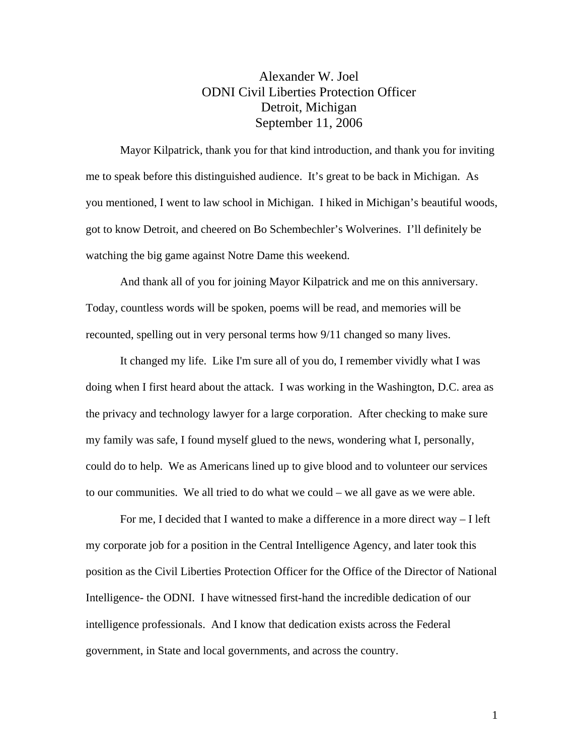## Alexander W. Joel ODNI Civil Liberties Protection Officer Detroit, Michigan September 11, 2006

Mayor Kilpatrick, thank you for that kind introduction, and thank you for inviting me to speak before this distinguished audience. It's great to be back in Michigan. As you mentioned, I went to law school in Michigan. I hiked in Michigan's beautiful woods, got to know Detroit, and cheered on Bo Schembechler's Wolverines. I'll definitely be watching the big game against Notre Dame this weekend.

And thank all of you for joining Mayor Kilpatrick and me on this anniversary. Today, countless words will be spoken, poems will be read, and memories will be recounted, spelling out in very personal terms how 9/11 changed so many lives.

It changed my life. Like I'm sure all of you do, I remember vividly what I was doing when I first heard about the attack. I was working in the Washington, D.C. area as the privacy and technology lawyer for a large corporation. After checking to make sure my family was safe, I found myself glued to the news, wondering what I, personally, could do to help. We as Americans lined up to give blood and to volunteer our services to our communities. We all tried to do what we could – we all gave as we were able.

For me, I decided that I wanted to make a difference in a more direct way – I left my corporate job for a position in the Central Intelligence Agency, and later took this position as the Civil Liberties Protection Officer for the Office of the Director of National Intelligence- the ODNI. I have witnessed first-hand the incredible dedication of our intelligence professionals. And I know that dedication exists across the Federal government, in State and local governments, and across the country.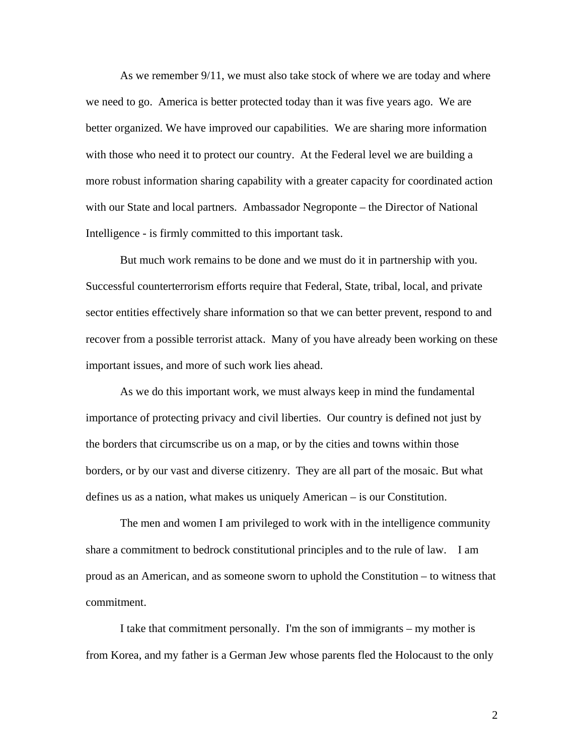As we remember 9/11, we must also take stock of where we are today and where we need to go. America is better protected today than it was five years ago. We are better organized. We have improved our capabilities. We are sharing more information with those who need it to protect our country. At the Federal level we are building a more robust information sharing capability with a greater capacity for coordinated action with our State and local partners. Ambassador Negroponte – the Director of National Intelligence - is firmly committed to this important task.

But much work remains to be done and we must do it in partnership with you. Successful counterterrorism efforts require that Federal, State, tribal, local, and private sector entities effectively share information so that we can better prevent, respond to and recover from a possible terrorist attack. Many of you have already been working on these important issues, and more of such work lies ahead.

As we do this important work, we must always keep in mind the fundamental importance of protecting privacy and civil liberties. Our country is defined not just by the borders that circumscribe us on a map, or by the cities and towns within those borders, or by our vast and diverse citizenry. They are all part of the mosaic. But what defines us as a nation, what makes us uniquely American – is our Constitution.

The men and women I am privileged to work with in the intelligence community share a commitment to bedrock constitutional principles and to the rule of law. I am proud as an American, and as someone sworn to uphold the Constitution – to witness that commitment.

I take that commitment personally. I'm the son of immigrants – my mother is from Korea, and my father is a German Jew whose parents fled the Holocaust to the only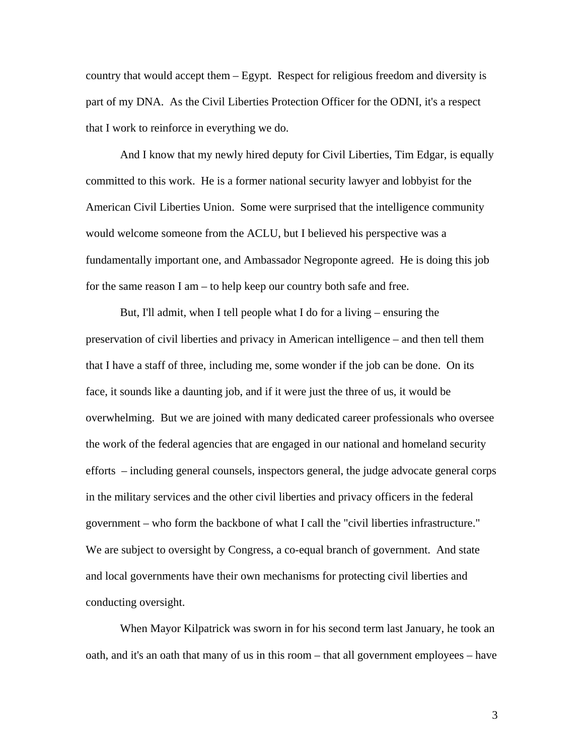country that would accept them – Egypt. Respect for religious freedom and diversity is part of my DNA. As the Civil Liberties Protection Officer for the ODNI, it's a respect that I work to reinforce in everything we do.

And I know that my newly hired deputy for Civil Liberties, Tim Edgar, is equally committed to this work. He is a former national security lawyer and lobbyist for the American Civil Liberties Union. Some were surprised that the intelligence community would welcome someone from the ACLU, but I believed his perspective was a fundamentally important one, and Ambassador Negroponte agreed. He is doing this job for the same reason I am – to help keep our country both safe and free.

But, I'll admit, when I tell people what I do for a living – ensuring the preservation of civil liberties and privacy in American intelligence – and then tell them that I have a staff of three, including me, some wonder if the job can be done. On its face, it sounds like a daunting job, and if it were just the three of us, it would be overwhelming. But we are joined with many dedicated career professionals who oversee the work of the federal agencies that are engaged in our national and homeland security efforts – including general counsels, inspectors general, the judge advocate general corps in the military services and the other civil liberties and privacy officers in the federal government – who form the backbone of what I call the "civil liberties infrastructure." We are subject to oversight by Congress, a co-equal branch of government. And state and local governments have their own mechanisms for protecting civil liberties and conducting oversight.

When Mayor Kilpatrick was sworn in for his second term last January, he took an oath, and it's an oath that many of us in this room – that all government employees – have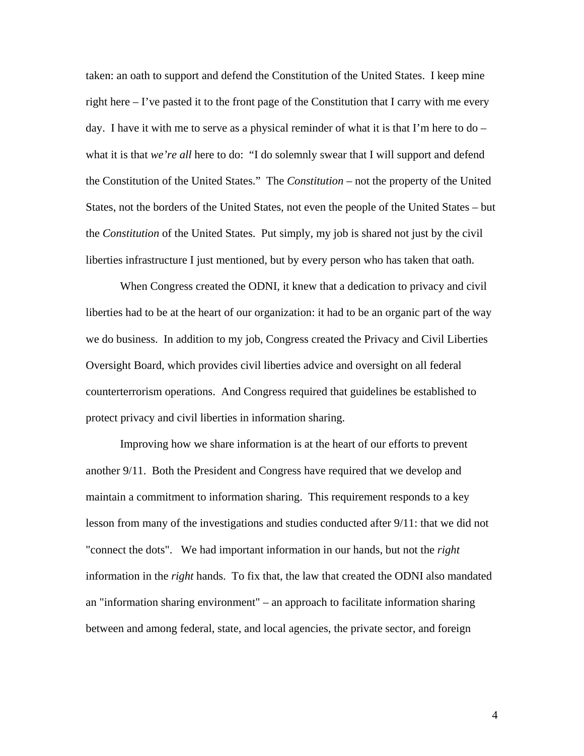taken: an oath to support and defend the Constitution of the United States. I keep mine right here  $-1$ 've pasted it to the front page of the Constitution that I carry with me every day. I have it with me to serve as a physical reminder of what it is that I'm here to  $do$ what it is that *we're all* here to do: "I do solemnly swear that I will support and defend the Constitution of the United States." The *Constitution* – not the property of the United States, not the borders of the United States, not even the people of the United States – but the *Constitution* of the United States. Put simply, my job is shared not just by the civil liberties infrastructure I just mentioned, but by every person who has taken that oath.

When Congress created the ODNI, it knew that a dedication to privacy and civil liberties had to be at the heart of our organization: it had to be an organic part of the way we do business. In addition to my job, Congress created the Privacy and Civil Liberties Oversight Board, which provides civil liberties advice and oversight on all federal counterterrorism operations. And Congress required that guidelines be established to protect privacy and civil liberties in information sharing.

Improving how we share information is at the heart of our efforts to prevent another 9/11. Both the President and Congress have required that we develop and maintain a commitment to information sharing. This requirement responds to a key lesson from many of the investigations and studies conducted after 9/11: that we did not "connect the dots". We had important information in our hands, but not the *right* information in the *right* hands. To fix that, the law that created the ODNI also mandated an "information sharing environment" – an approach to facilitate information sharing between and among federal, state, and local agencies, the private sector, and foreign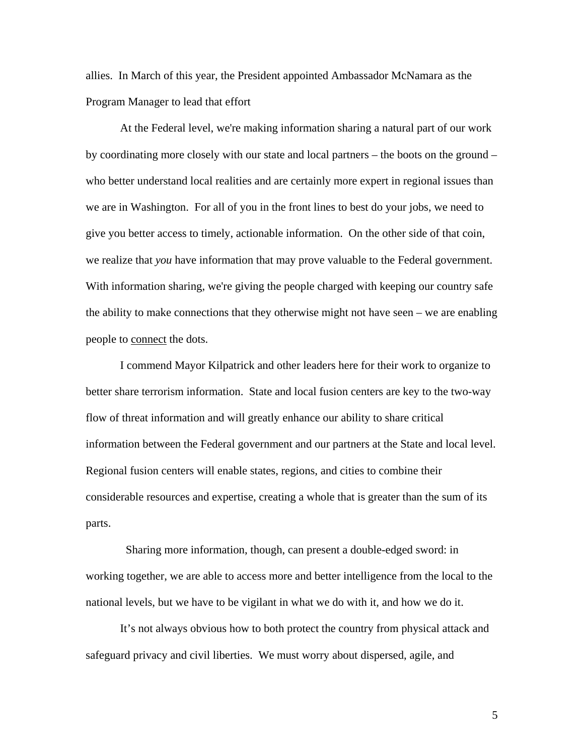allies. In March of this year, the President appointed Ambassador McNamara as the Program Manager to lead that effort

At the Federal level, we're making information sharing a natural part of our work by coordinating more closely with our state and local partners – the boots on the ground – who better understand local realities and are certainly more expert in regional issues than we are in Washington. For all of you in the front lines to best do your jobs, we need to give you better access to timely, actionable information. On the other side of that coin, we realize that *you* have information that may prove valuable to the Federal government. With information sharing, we're giving the people charged with keeping our country safe the ability to make connections that they otherwise might not have seen – we are enabling people to connect the dots.

I commend Mayor Kilpatrick and other leaders here for their work to organize to better share terrorism information. State and local fusion centers are key to the two-way flow of threat information and will greatly enhance our ability to share critical information between the Federal government and our partners at the State and local level. Regional fusion centers will enable states, regions, and cities to combine their considerable resources and expertise, creating a whole that is greater than the sum of its parts.

 Sharing more information, though, can present a double-edged sword: in working together, we are able to access more and better intelligence from the local to the national levels, but we have to be vigilant in what we do with it, and how we do it.

It's not always obvious how to both protect the country from physical attack and safeguard privacy and civil liberties. We must worry about dispersed, agile, and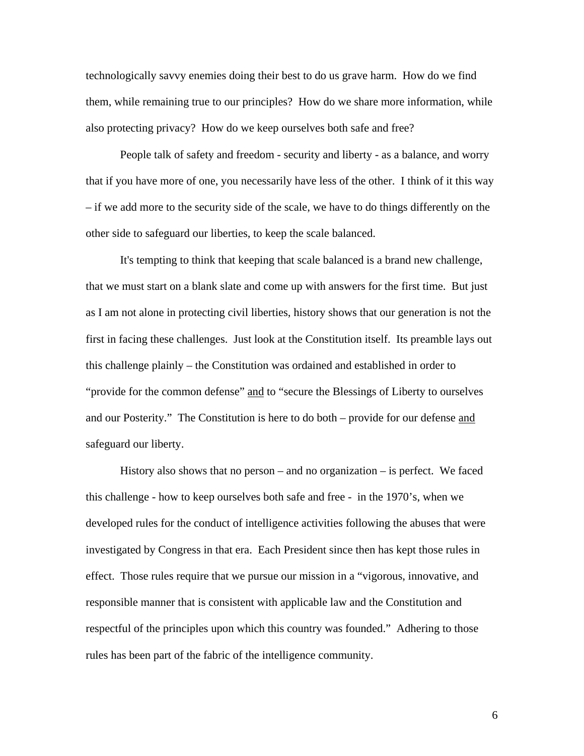technologically savvy enemies doing their best to do us grave harm. How do we find them, while remaining true to our principles? How do we share more information, while also protecting privacy? How do we keep ourselves both safe and free?

People talk of safety and freedom - security and liberty - as a balance, and worry that if you have more of one, you necessarily have less of the other. I think of it this way – if we add more to the security side of the scale, we have to do things differently on the other side to safeguard our liberties, to keep the scale balanced.

It's tempting to think that keeping that scale balanced is a brand new challenge, that we must start on a blank slate and come up with answers for the first time. But just as I am not alone in protecting civil liberties, history shows that our generation is not the first in facing these challenges. Just look at the Constitution itself. Its preamble lays out this challenge plainly – the Constitution was ordained and established in order to "provide for the common defense" and to "secure the Blessings of Liberty to ourselves and our Posterity." The Constitution is here to do both – provide for our defense and safeguard our liberty.

History also shows that no person – and no organization – is perfect. We faced this challenge - how to keep ourselves both safe and free - in the 1970's, when we developed rules for the conduct of intelligence activities following the abuses that were investigated by Congress in that era. Each President since then has kept those rules in effect. Those rules require that we pursue our mission in a "vigorous, innovative, and responsible manner that is consistent with applicable law and the Constitution and respectful of the principles upon which this country was founded." Adhering to those rules has been part of the fabric of the intelligence community.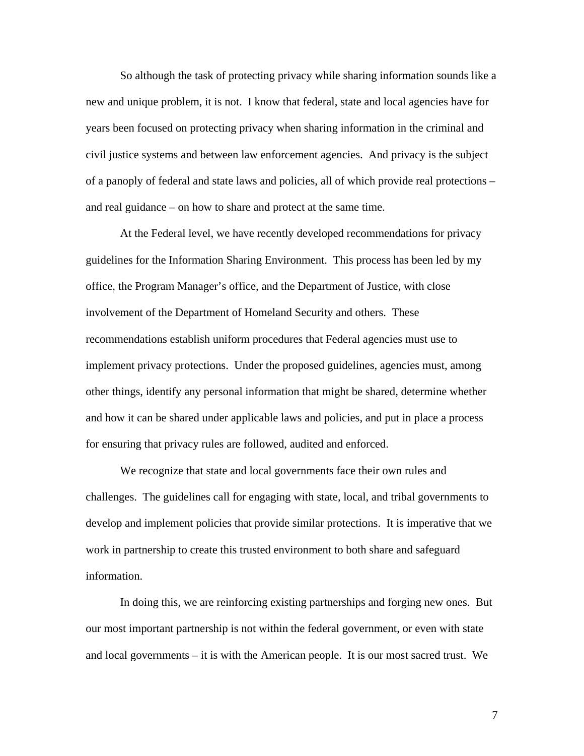So although the task of protecting privacy while sharing information sounds like a new and unique problem, it is not. I know that federal, state and local agencies have for years been focused on protecting privacy when sharing information in the criminal and civil justice systems and between law enforcement agencies. And privacy is the subject of a panoply of federal and state laws and policies, all of which provide real protections – and real guidance – on how to share and protect at the same time.

At the Federal level, we have recently developed recommendations for privacy guidelines for the Information Sharing Environment. This process has been led by my office, the Program Manager's office, and the Department of Justice, with close involvement of the Department of Homeland Security and others. These recommendations establish uniform procedures that Federal agencies must use to implement privacy protections. Under the proposed guidelines, agencies must, among other things, identify any personal information that might be shared, determine whether and how it can be shared under applicable laws and policies, and put in place a process for ensuring that privacy rules are followed, audited and enforced.

We recognize that state and local governments face their own rules and challenges. The guidelines call for engaging with state, local, and tribal governments to develop and implement policies that provide similar protections. It is imperative that we work in partnership to create this trusted environment to both share and safeguard information.

In doing this, we are reinforcing existing partnerships and forging new ones. But our most important partnership is not within the federal government, or even with state and local governments – it is with the American people. It is our most sacred trust. We